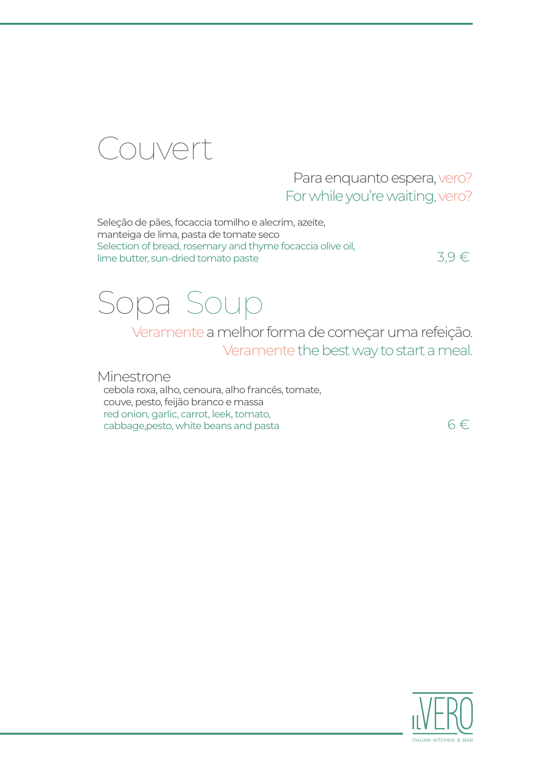

#### Para enquanto espera, vero? For while you're waiting, vero?

Seleção de pães, focaccia tomilho e alecrim, azeite, manteiga de lima, pasta de tomate seco Selection of bread, rosemary and thyme focaccia olive oil,  $\frac{1}{3}$  lime butter, sun-dried tomato paste 3,9 €

## Sopa Soup

Veramente a melhor forma de começar uma refeição. Veramente the best way to start a meal.

Minestrone cebola roxa, alho, cenoura, alho francês, tomate, couve, pesto, feijão branco e massa red onion, garlic, carrot, leek, tomato, cabbage, pesto, white beans and pasta  $6 \in$ 

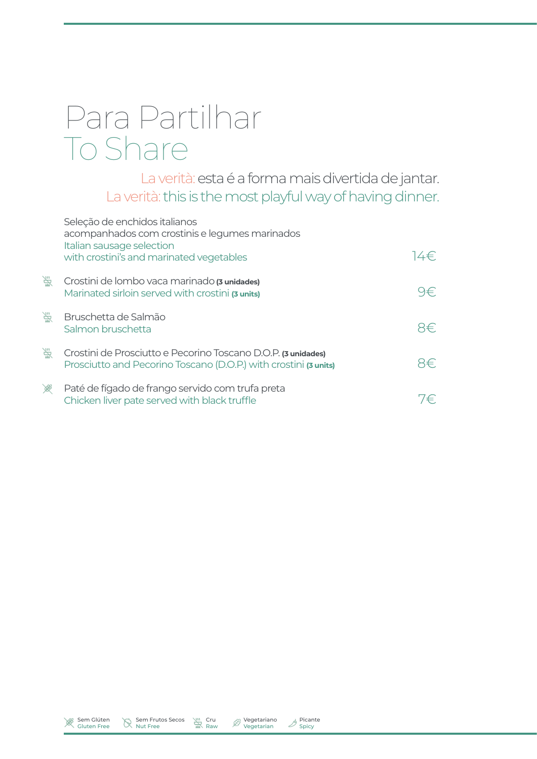# Para Partilhar To Share

La verità: esta é a forma mais divertida de jantar. La verità: this is the most playful way of having dinner.

|   | Seleção de enchidos italianos<br>acompanhados com crostinis e legumes marinados<br>Italian sausage selection                      |                  |
|---|-----------------------------------------------------------------------------------------------------------------------------------|------------------|
|   | with crostini's and marinated vegetables                                                                                          | 14€.             |
| 学 | Crostini de lombo vaca marinado (3 unidades)<br>Marinated sirloin served with crostini (3 units)                                  | -)∉∵             |
| 学 | Bruschetta de Salmão<br>Salmon bruschetta                                                                                         | ⊣∉⊺              |
| 学 | Crostini de Prosciutto e Pecorino Toscano D.O.P. (3 unidades)<br>Prosciutto and Pecorino Toscano (D.O.P.) with crostini (3 units) | 2€.              |
| 冷 | Paté de fígado de frango servido com trufa preta<br>Chicken liver pate served with black truffle                                  | $\left( \right.$ |





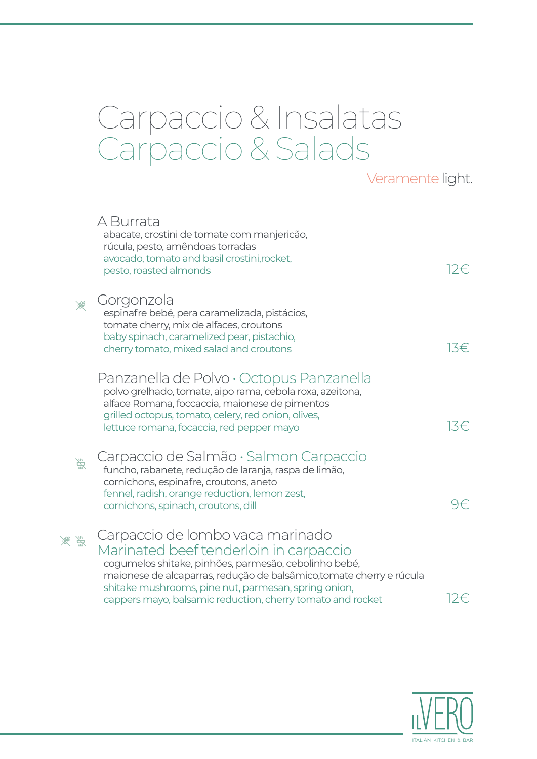### Carpaccio & Insalatas Carpaccio & Salads

#### Veramente light.

|   | A Burrata<br>abacate, crostini de tomate com manjericão,<br>rúcula, pesto, amêndoas torradas<br>avocado, tomato and basil crostini, rocket,<br>pesto, roasted almonds                                                                                                                                                             | 12€. |
|---|-----------------------------------------------------------------------------------------------------------------------------------------------------------------------------------------------------------------------------------------------------------------------------------------------------------------------------------|------|
|   | Gorgonzola<br>espinafre bebé, pera caramelizada, pistácios,<br>tomate cherry, mix de alfaces, croutons<br>baby spinach, caramelized pear, pistachio,<br>cherry tomato, mixed salad and croutons                                                                                                                                   | 13€  |
|   | Panzanella de Polvo · Octopus Panzanella<br>polvo grelhado, tomate, aipo rama, cebola roxa, azeitona,<br>alface Romana, foccaccia, maionese de pimentos<br>grilled octopus, tomato, celery, red onion, olives,<br>lettuce romana, focaccia, red pepper mayo                                                                       | 13€  |
| 談 | Carpaccio de Salmão · Salmon Carpaccio<br>funcho, rabanete, redução de laranja, raspa de limão,<br>cornichons, espinafre, croutons, aneto<br>fennel, radish, orange reduction, lemon zest,<br>cornichons, spinach, croutons, dill                                                                                                 | 9€   |
|   | Carpaccio de Iombo vaca marinado<br>Marinated beef tenderloin in carpaccio<br>cogumelos shitake, pinhões, parmesão, cebolinho bebé,<br>maionese de alcaparras, redução de balsâmico, tomate cherry e rúcula<br>shitake mushrooms, pine nut, parmesan, spring onion,<br>cappers mayo, balsamic reduction, cherry tomato and rocket | 12€  |

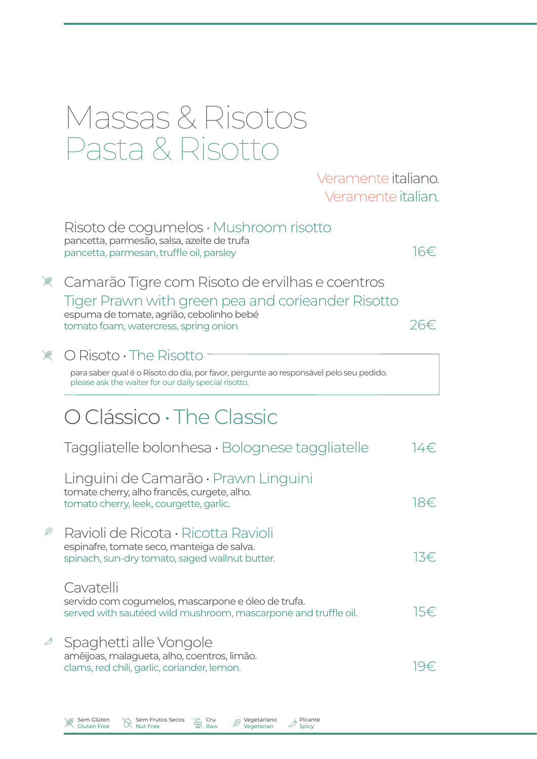|   | Massas & Risotos<br>Pasta & Risotto                                                                                                                                                       |      |
|---|-------------------------------------------------------------------------------------------------------------------------------------------------------------------------------------------|------|
|   | Veramente italiano.<br>Veramente italian.                                                                                                                                                 |      |
|   | $Risoto$ de cogumelos $\cdot$ Mushroom risotto<br>pancetta, parmesão, salsa, azeite de trufa<br>pancetta, parmesan, truffle oil, parsley                                                  | 16€  |
| 溪 | Camarão Tigre com Risoto de ervilhas e coentros<br>Tiger Prawn with green pea and corieander Risotto<br>espuma de tomate, agrião, cebolinho bebé<br>tomato foam, watercress, spring onion | 26€  |
|   | $\bigcirc$ Risoto $\cdot$ The Risotto<br>para saber qual é o Risoto do dia, por favor, pergunte ao responsável pelo seu pedido.<br>please ask the waiter for our daily special risotto.   |      |
|   | O Clássico · The Classic                                                                                                                                                                  |      |
|   | $Taggliatelle bolonhesa · Bolognese taggliatelle$                                                                                                                                         | 14€. |
|   | Linguini de Camarão • Prawn Linguini<br>tomate cherry, alho francês, curgete, alho.<br>tomato cherry, leek, courgette, garlic.                                                            | 18€  |
| Ŀ | Ravioli de Ricota · Ricotta Ravioli<br>espinafre, tomate seco, manteiga de salva.<br>spinach, sun-dry tomato, saged wallnut butter.                                                       | 13€  |
|   | Cavatelli<br>servido com cogumelos, mascarpone e óleo de trufa.<br>served with sautéed wild mushroom, mascarpone and truffle oil.                                                         | 15€  |
| ♪ | Spaghetti alle Vongole<br>amêijoas, malagueta, alho, coentros, limão.<br>clams, red chili, garlic, coriander, lemon.                                                                      | 19€  |

Sem Glúten Gluten Free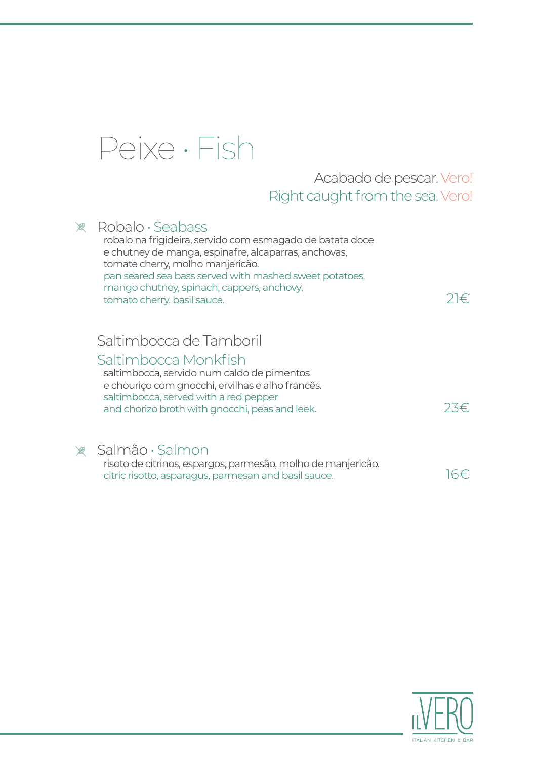

#### Acabado de pescar. Vero! Right caught from the sea. Vero!

| Robalo · Seabass<br>robalo na frigideira, servido com esmagado de batata doce<br>e chutney de manga, espinafre, alcaparras, anchovas,<br>tomate cherry, molho manjericão.<br>pan seared sea bass served with mashed sweet potatoes,<br>mango chutney, spinach, cappers, anchovy,<br>tomato cherry, basil sauce. | $2 \in$ |
|-----------------------------------------------------------------------------------------------------------------------------------------------------------------------------------------------------------------------------------------------------------------------------------------------------------------|---------|
| Saltimbocca de Tamboril<br>Saltimbocca Monkfish<br>saltimbocca, servido num caldo de pimentos<br>e chouriço com gnocchi, ervilhas e alho francês.<br>saltimbocca, served with a red pepper<br>and chorizo broth with gnocchi, peas and leek.                                                                    |         |
| Salmão · Salmon<br>risoto de citrinos, espargos, parmesão, molho de manjericão.<br>citric risotto, asparagus, parmesan and basil sauce.                                                                                                                                                                         |         |

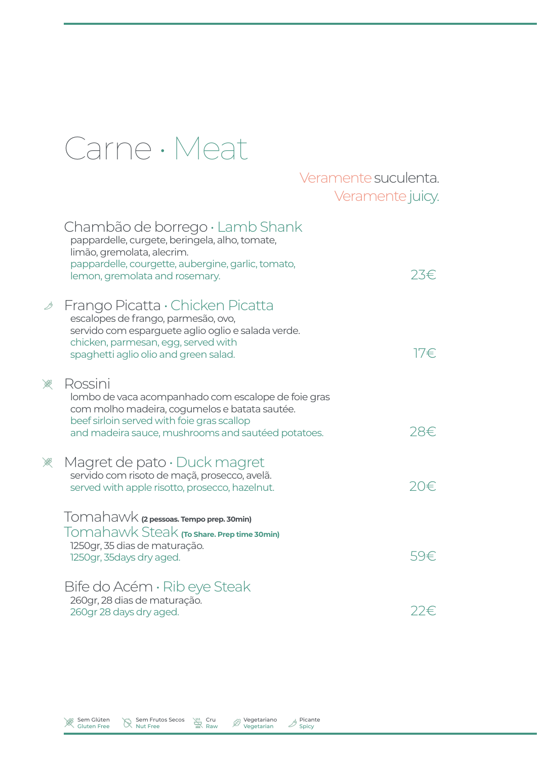## Carne • Meat

#### Veramente suculenta. Veramente juicy.

|   | Chambão de borrego · Lamb Shank<br>pappardelle, curgete, beringela, alho, tomate,<br>limão, gremolata, alecrim.<br>pappardelle, courgette, aubergine, garlic, tomato,<br>lemon, gremolata and rosemary.             | 23€. |
|---|---------------------------------------------------------------------------------------------------------------------------------------------------------------------------------------------------------------------|------|
| ♪ | Frango Picatta · Chicken Picatta<br>escalopes de frango, parmesão, ovo,<br>servido com esparguete aglio oglio e salada verde.<br>chicken, parmesan, egg, served with<br>spaghetti aglio olio and green salad.       | 17€  |
| 冷 | Rossini<br>lombo de vaca acompanhado com escalope de foie gras<br>com molho madeira, cogumelos e batata sautée.<br>beef sirloin served with foie gras scallop<br>and madeira sauce, mushrooms and sautéed potatoes. | 28€. |
| 爱 | Magret de pato $\cdot$ Duck magret<br>servido com risoto de maçã, prosecco, avelã.<br>served with apple risotto, prosecco, hazelnut.                                                                                |      |
|   | Tomahawk (2 pessoas. Tempo prep. 30min)<br>Tomahawk Steak (To share. Prep time 30min)<br>1250gr, 35 dias de maturação.<br>1250gr, 35days dry aged.                                                                  | 59€  |
|   | Bite do Acém · Rib eye Steak<br>260gr, 28 dias de maturação.<br>260gr 28 days dry aged.                                                                                                                             | 22€. |

Sem Glúten Gluten Free

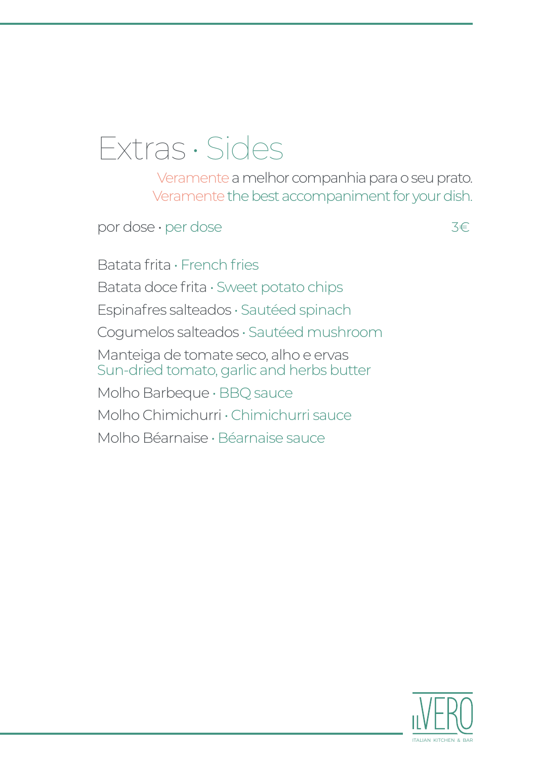### Extras • Sides

Veramente a melhor companhia para o seu prato. Veramente the best accompaniment for your dish.

por dose • per dose 3€

Batata frita • French fries Batata doce frita • Sweet potato chips Espinafres salteados • Sautéed spinach Cogumelos salteados • Sautéed mushroom Manteiga de tomate seco, alho e ervas Sun-dried tomato, garlic and herbs butter Molho Barbeque • BBQ sauce Molho Chimichurri • Chimichurri sauce Molho Béarnaise • Béarnaise sauce

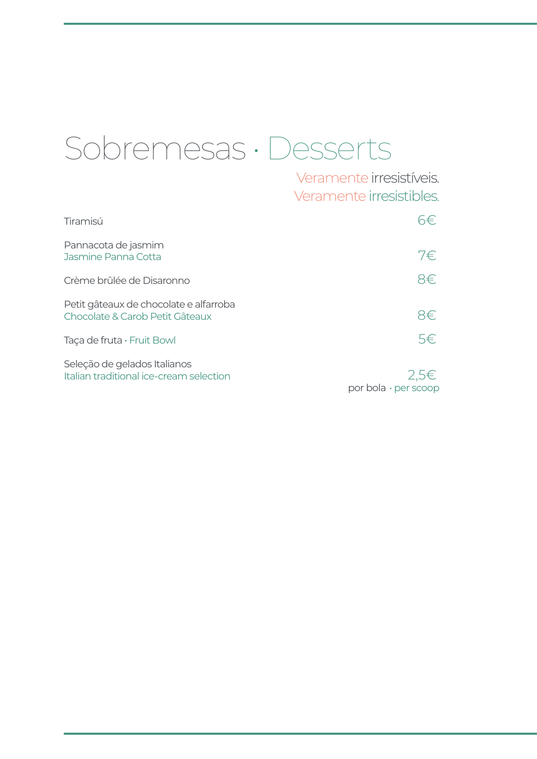# Sobremesas • Desserts

Veramente irresistíveis. Veramente irresistibles.

| Tiramisú                                                                  |                                          |
|---------------------------------------------------------------------------|------------------------------------------|
| Pannacota de jasmim<br>Jasmine Panna Cotta                                | 7€.                                      |
| Crème brûlée de Disaronno                                                 | 8€.                                      |
| Petit gâteaux de chocolate e alfarroba<br>Chocolate & Carob Petit Gâteaux | 8€.                                      |
| Taça de fruta · Fruit Bowl                                                | $5 \in$                                  |
| Seleção de gelados Italianos<br>Italian traditional ice-cream selection   | 2.5 <sup>∈</sup><br>por bola · per scoop |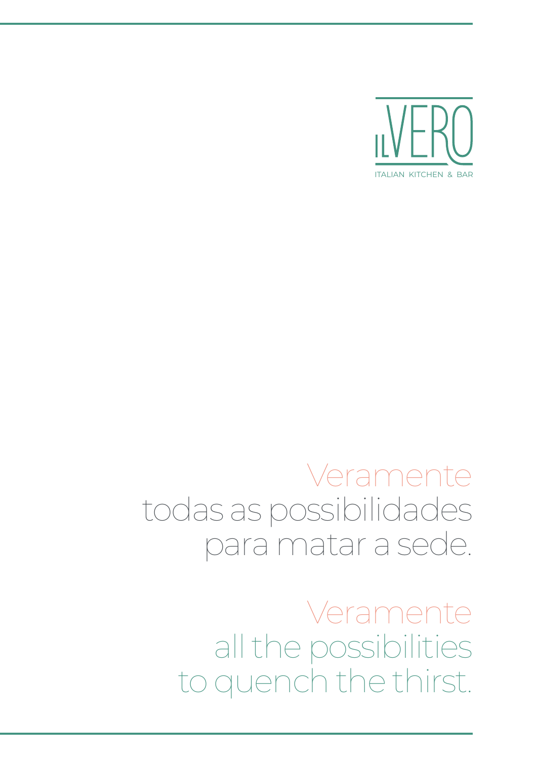Veramente all the possibilities to quench the thirst.

### Veramente todas as possibilidades para matar a sede.

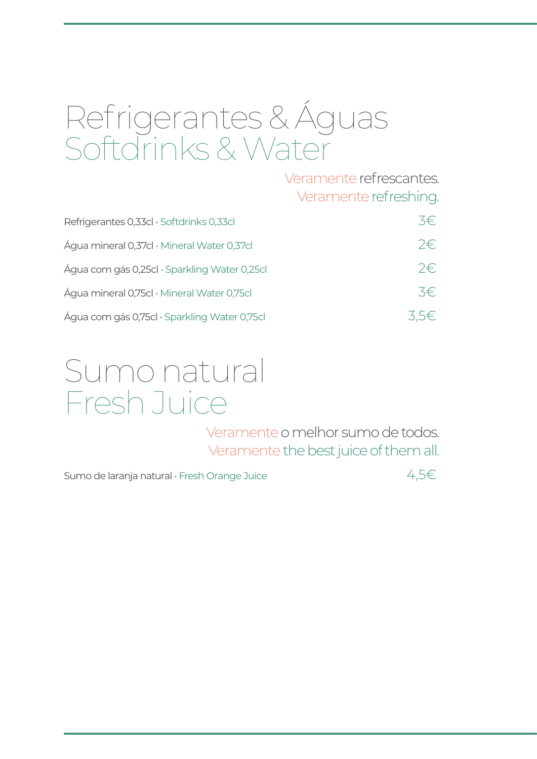# Refrigerantes & Águas Softdrinks & Water

Veramente refrescantes. Veramente refreshing.

| Refrigerantes 0,33cl · Softdrinks 0,33cl     | 3€.                |
|----------------------------------------------|--------------------|
| Água mineral 0,37cl · Mineral Water 0,37cl   | $2 \in \mathbb{R}$ |
| Água com gás 0,25cl · Sparkling Water 0,25cl | $2 \in \mathbb{R}$ |
| Água mineral 0,75cl · Mineral Water 0,75cl   | 3€.                |
| Água com gás 0,75cl · Sparkling Water 0,75cl | 3.5€               |

#### Sumo natural Fresh Juice

Veramente o melhor sumo de todos. Veramente the best juice of them all.

Sumo de laranja natural • Fresh Orange Juice  $4,5 \in$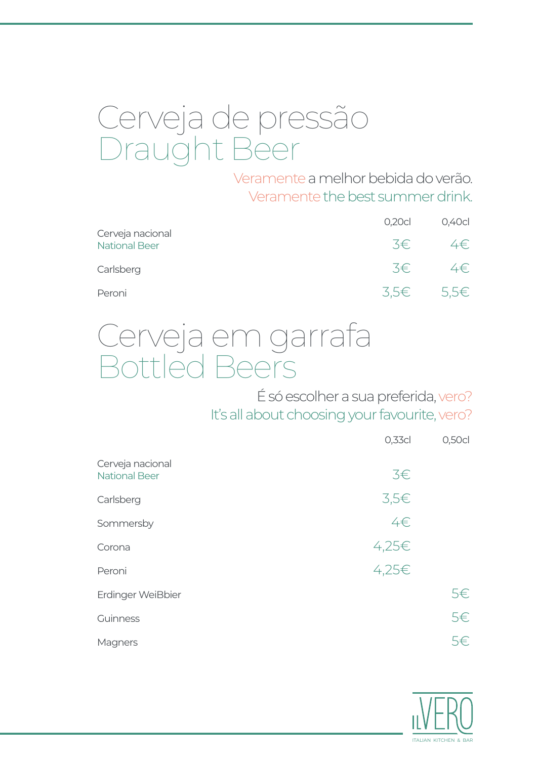# Cerveja de pressão Draught Beer

Veramente a melhor bebida do verão. Veramentethe best summer drink.

|                                          | 0,20c   | 0,40c     |
|------------------------------------------|---------|-----------|
| Cerveja nacional<br><b>National Beer</b> | $3 \in$ | 4€        |
| Carlsberg                                | 3€      | 4€        |
| Peroni                                   |         | 3.5€ 5.5€ |

# Cerveja em garrafa Bottled Beers

É só escolher a sua preferida, vero? It's all about choosing your favourite, vero?

|                                          | $0,33$ cl  | 0,50c |
|------------------------------------------|------------|-------|
| Cerveja nacional<br><b>National Beer</b> | $3 \in$    |       |
| Carlsberg                                | $3,5 \in$  |       |
| Sommersby                                | 4€         |       |
| Corona                                   | $4,25 \in$ |       |
| Peroni                                   | 4,25€      |       |
| Erdinger WeiBbier                        |            | 5€    |
| Guinness                                 |            | 5€    |
| Magners                                  |            | 5€    |